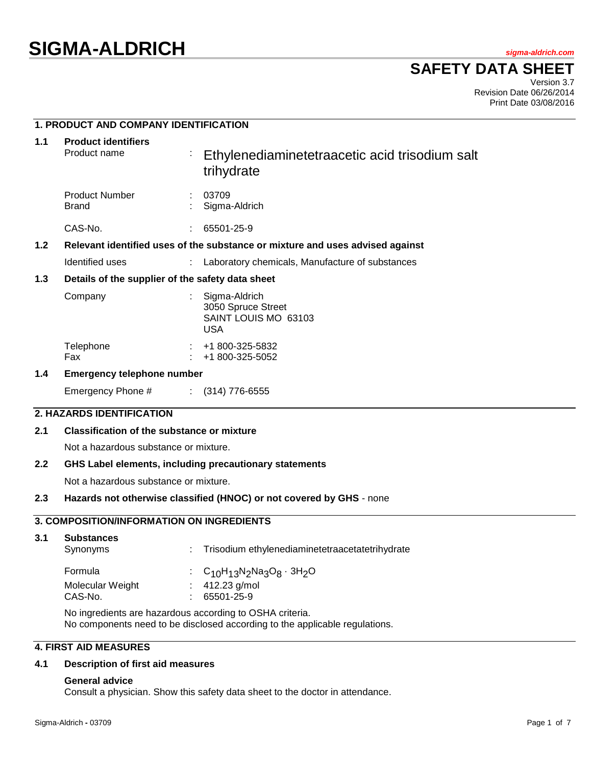# **SIGMA-ALDRICH** *sigma-aldrich.com*

**SAFETY DATA SHEET**

Version 3.7 Revision Date 06/26/2014 Print Date 03/08/2016

# **1. PRODUCT AND COMPANY IDENTIFICATION**

| 1.1 | <b>Product identifiers</b><br>Product name                                    |  | Ethylenediaminetetraacetic acid trisodium salt<br>trihydrate              |
|-----|-------------------------------------------------------------------------------|--|---------------------------------------------------------------------------|
|     | <b>Product Number</b><br><b>Brand</b>                                         |  | 03709<br>Sigma-Aldrich                                                    |
|     | CAS-No.                                                                       |  | 65501-25-9                                                                |
| 1.2 | Relevant identified uses of the substance or mixture and uses advised against |  |                                                                           |
|     | Identified uses                                                               |  | : Laboratory chemicals, Manufacture of substances                         |
| 1.3 | Details of the supplier of the safety data sheet                              |  |                                                                           |
|     | Company                                                                       |  | Sigma-Aldrich<br>3050 Spruce Street<br>SAINT LOUIS MO 63103<br><b>USA</b> |
|     | Telephone<br>Fax                                                              |  | $\div$ +1 800-325-5832<br>+1 800-325-5052                                 |
| 1.4 | <b>Emergency telephone number</b>                                             |  |                                                                           |
|     | Emergency Phone #                                                             |  | $\colon$ (314) 776-6555                                                   |
|     | 2. HAZARDS IDENTIFICATION                                                     |  |                                                                           |

## **2.1 Classification of the substance or mixture**

Not a hazardous substance or mixture.

## **2.2 GHS Label elements, including precautionary statements**

Not a hazardous substance or mixture.

# **2.3 Hazards not otherwise classified (HNOC) or not covered by GHS** - none

# **3. COMPOSITION/INFORMATION ON INGREDIENTS**

|                                                               | <b>Substances</b><br>Synonyms | : Trisodium ethylenediaminetetraacetatetrihydrate |
|---------------------------------------------------------------|-------------------------------|---------------------------------------------------|
| : $412.23$ g/mol<br>Molecular Weight<br>CAS-No.<br>65501-25-9 | Formula                       | : $C_{10}H_{13}N_2N_3O_8 \cdot 3H_2O$             |

No ingredients are hazardous according to OSHA criteria. No components need to be disclosed according to the applicable regulations.

# **4. FIRST AID MEASURES**

# **4.1 Description of first aid measures**

#### **General advice**

Consult a physician. Show this safety data sheet to the doctor in attendance.

**3.1 Substances**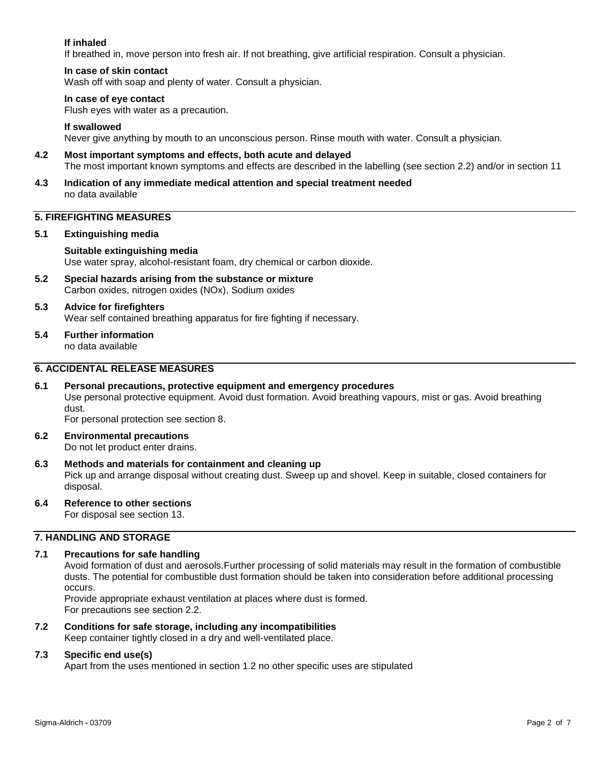# **If inhaled**

If breathed in, move person into fresh air. If not breathing, give artificial respiration. Consult a physician.

# **In case of skin contact**

Wash off with soap and plenty of water. Consult a physician.

## **In case of eye contact**

Flush eyes with water as a precaution.

# **If swallowed**

Never give anything by mouth to an unconscious person. Rinse mouth with water. Consult a physician.

- **4.2 Most important symptoms and effects, both acute and delayed** The most important known symptoms and effects are described in the labelling (see section 2.2) and/or in section 11
- **4.3 Indication of any immediate medical attention and special treatment needed** no data available

# **5. FIREFIGHTING MEASURES**

## **5.1 Extinguishing media**

# **Suitable extinguishing media**

Use water spray, alcohol-resistant foam, dry chemical or carbon dioxide.

**5.2 Special hazards arising from the substance or mixture** Carbon oxides, nitrogen oxides (NOx), Sodium oxides

#### **5.3 Advice for firefighters** Wear self contained breathing apparatus for fire fighting if necessary.

**5.4 Further information** no data available

# **6. ACCIDENTAL RELEASE MEASURES**

**6.1 Personal precautions, protective equipment and emergency procedures** Use personal protective equipment. Avoid dust formation. Avoid breathing vapours, mist or gas. Avoid breathing dust.

For personal protection see section 8.

- **6.2 Environmental precautions** Do not let product enter drains.
- **6.3 Methods and materials for containment and cleaning up** Pick up and arrange disposal without creating dust. Sweep up and shovel. Keep in suitable, closed containers for disposal.
- **6.4 Reference to other sections**

For disposal see section 13.

# **7. HANDLING AND STORAGE**

# **7.1 Precautions for safe handling**

Avoid formation of dust and aerosols.Further processing of solid materials may result in the formation of combustible dusts. The potential for combustible dust formation should be taken into consideration before additional processing occurs.

Provide appropriate exhaust ventilation at places where dust is formed. For precautions see section 2.2.

**7.2 Conditions for safe storage, including any incompatibilities**

Keep container tightly closed in a dry and well-ventilated place.

# **7.3 Specific end use(s)**

Apart from the uses mentioned in section 1.2 no other specific uses are stipulated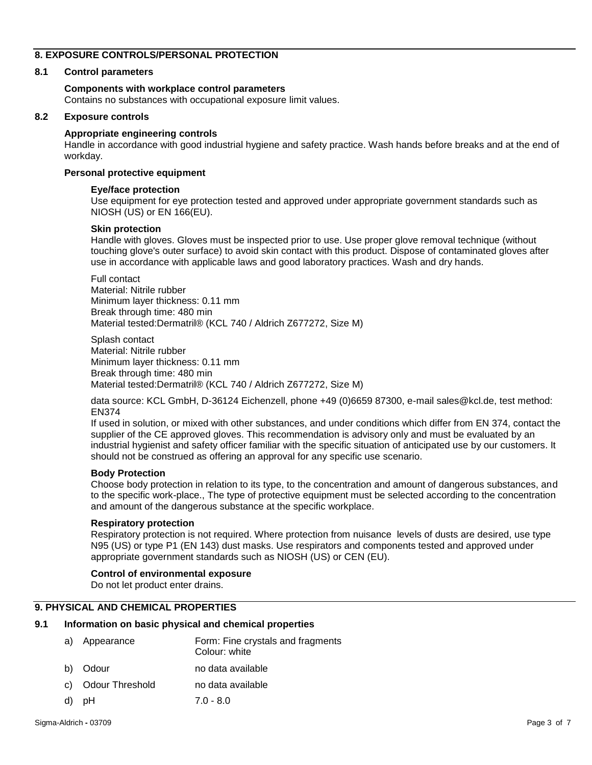# **8. EXPOSURE CONTROLS/PERSONAL PROTECTION**

# **8.1 Control parameters**

# **Components with workplace control parameters**

Contains no substances with occupational exposure limit values.

## **8.2 Exposure controls**

## **Appropriate engineering controls**

Handle in accordance with good industrial hygiene and safety practice. Wash hands before breaks and at the end of workday.

#### **Personal protective equipment**

#### **Eye/face protection**

Use equipment for eye protection tested and approved under appropriate government standards such as NIOSH (US) or EN 166(EU).

#### **Skin protection**

Handle with gloves. Gloves must be inspected prior to use. Use proper glove removal technique (without touching glove's outer surface) to avoid skin contact with this product. Dispose of contaminated gloves after use in accordance with applicable laws and good laboratory practices. Wash and dry hands.

Full contact Material: Nitrile rubber Minimum layer thickness: 0.11 mm Break through time: 480 min Material tested:Dermatril® (KCL 740 / Aldrich Z677272, Size M)

Splash contact Material: Nitrile rubber Minimum layer thickness: 0.11 mm Break through time: 480 min Material tested:Dermatril® (KCL 740 / Aldrich Z677272, Size M)

data source: KCL GmbH, D-36124 Eichenzell, phone +49 (0)6659 87300, e-mail sales@kcl.de, test method: EN374

If used in solution, or mixed with other substances, and under conditions which differ from EN 374, contact the supplier of the CE approved gloves. This recommendation is advisory only and must be evaluated by an industrial hygienist and safety officer familiar with the specific situation of anticipated use by our customers. It should not be construed as offering an approval for any specific use scenario.

## **Body Protection**

Choose body protection in relation to its type, to the concentration and amount of dangerous substances, and to the specific work-place., The type of protective equipment must be selected according to the concentration and amount of the dangerous substance at the specific workplace.

## **Respiratory protection**

Respiratory protection is not required. Where protection from nuisance levels of dusts are desired, use type N95 (US) or type P1 (EN 143) dust masks. Use respirators and components tested and approved under appropriate government standards such as NIOSH (US) or CEN (EU).

# **Control of environmental exposure**

Do not let product enter drains.

## **9. PHYSICAL AND CHEMICAL PROPERTIES**

## **9.1 Information on basic physical and chemical properties**

|    | a) Appearance      | Form: Fine crystals and fragments<br>Colour: white |
|----|--------------------|----------------------------------------------------|
|    | b) Odour           | no data available                                  |
|    | c) Odour Threshold | no data available                                  |
| d) | рH                 | $7.0 - 8.0$                                        |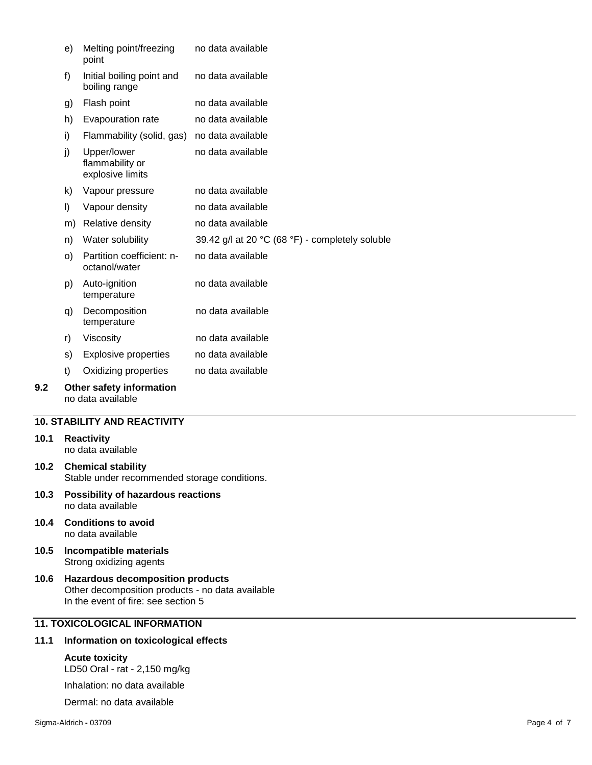| 9.2 |    | Other safety information<br>no data available      |                                                 |
|-----|----|----------------------------------------------------|-------------------------------------------------|
|     | t) | Oxidizing properties                               | no data available                               |
|     | s) | <b>Explosive properties</b>                        | no data available                               |
|     | r) | Viscosity                                          | no data available                               |
|     | q) | Decomposition<br>temperature                       | no data available                               |
|     | p) | Auto-ignition<br>temperature                       | no data available                               |
|     | O) | Partition coefficient: n-<br>octanol/water         | no data available                               |
|     | n) | Water solubility                                   | 39.42 g/l at 20 °C (68 °F) - completely soluble |
|     | m) | Relative density                                   | no data available                               |
|     | I) | Vapour density                                     | no data available                               |
|     | k) | Vapour pressure                                    | no data available                               |
|     | j) | Upper/lower<br>flammability or<br>explosive limits | no data available                               |
|     | i) | Flammability (solid, gas) no data available        |                                                 |
|     | h) | Evapouration rate                                  | no data available                               |
|     | g) | Flash point                                        | no data available                               |
|     | f) | Initial boiling point and<br>boiling range         | no data available                               |
|     | e) | Melting point/freezing<br>point                    | no data available                               |

## **10. STABILITY AND REACTIVITY**

#### **10.1 Reactivity** no data available

- **10.2 Chemical stability** Stable under recommended storage conditions.
- **10.3 Possibility of hazardous reactions** no data available
- **10.4 Conditions to avoid** no data available
- **10.5 Incompatible materials** Strong oxidizing agents
- **10.6 Hazardous decomposition products** Other decomposition products - no data available In the event of fire: see section 5

# **11. TOXICOLOGICAL INFORMATION**

# **11.1 Information on toxicological effects**

# **Acute toxicity**

LD50 Oral - rat - 2,150 mg/kg

Inhalation: no data available

Dermal: no data available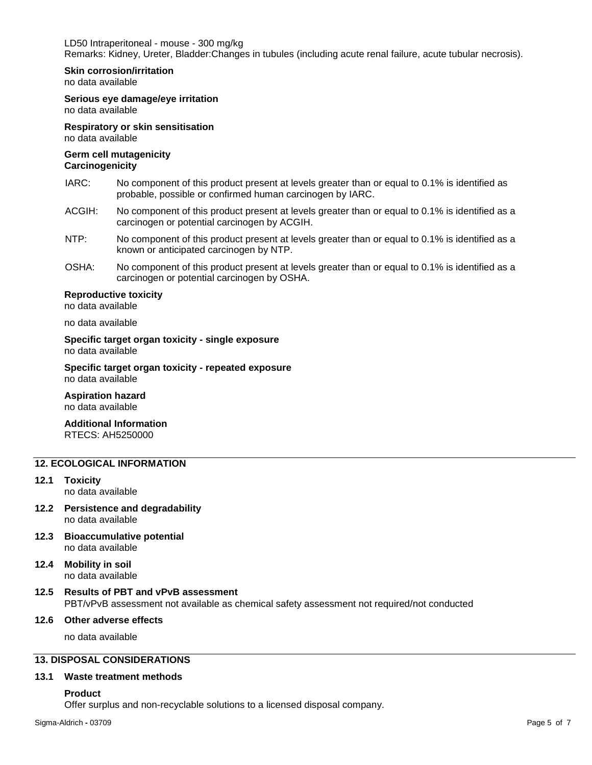LD50 Intraperitoneal - mouse - 300 mg/kg Remarks: Kidney, Ureter, Bladder:Changes in tubules (including acute renal failure, acute tubular necrosis).

#### **Skin corrosion/irritation**

no data available

## **Serious eye damage/eye irritation**

no data available

#### **Respiratory or skin sensitisation** no data available

# **Germ cell mutagenicity**

# **Carcinogenicity**

- IARC: No component of this product present at levels greater than or equal to 0.1% is identified as probable, possible or confirmed human carcinogen by IARC.
- ACGIH: No component of this product present at levels greater than or equal to 0.1% is identified as a carcinogen or potential carcinogen by ACGIH.
- NTP: No component of this product present at levels greater than or equal to 0.1% is identified as a known or anticipated carcinogen by NTP.
- OSHA: No component of this product present at levels greater than or equal to 0.1% is identified as a carcinogen or potential carcinogen by OSHA.

#### **Reproductive toxicity**

no data available

no data available

**Specific target organ toxicity - single exposure** no data available

#### **Specific target organ toxicity - repeated exposure** no data available

# **Aspiration hazard**

no data available

#### **Additional Information** RTECS: AH5250000

# **12. ECOLOGICAL INFORMATION**

#### **12.1 Toxicity**

no data available

- **12.2 Persistence and degradability** no data available
- **12.3 Bioaccumulative potential** no data available
- **12.4 Mobility in soil** no data available

# **12.5 Results of PBT and vPvB assessment** PBT/vPvB assessment not available as chemical safety assessment not required/not conducted

# **12.6 Other adverse effects**

no data available

# **13. DISPOSAL CONSIDERATIONS**

## **13.1 Waste treatment methods**

**Product**

Offer surplus and non-recyclable solutions to a licensed disposal company.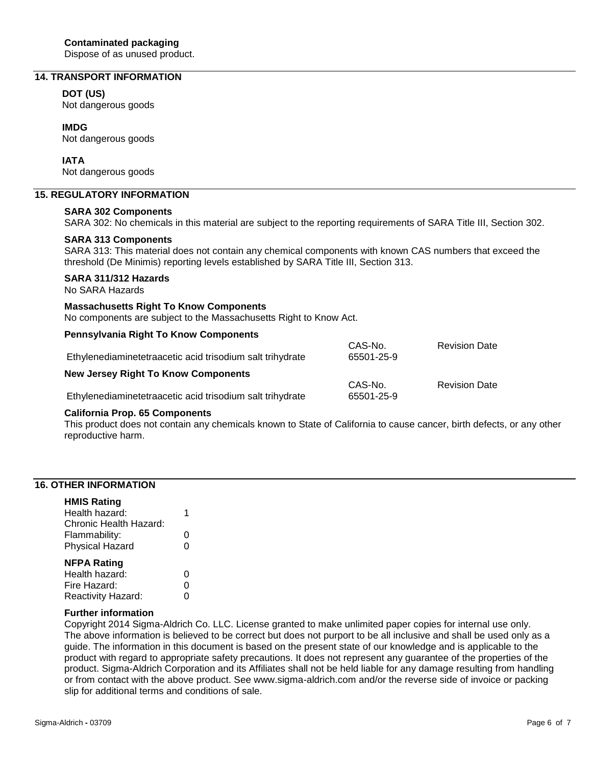Dispose of as unused product.

# **14. TRANSPORT INFORMATION**

## **DOT (US)**

Not dangerous goods

# **IMDG**

Not dangerous goods

# **IATA**

Not dangerous goods

# **15. REGULATORY INFORMATION**

#### **SARA 302 Components**

SARA 302: No chemicals in this material are subject to the reporting requirements of SARA Title III, Section 302.

#### **SARA 313 Components**

SARA 313: This material does not contain any chemical components with known CAS numbers that exceed the threshold (De Minimis) reporting levels established by SARA Title III, Section 313.

# **SARA 311/312 Hazards**

No SARA Hazards

## **Massachusetts Right To Know Components**

No components are subject to the Massachusetts Right to Know Act.

| <b>Pennsylvania Right To Know Components</b>              |                       |                      |
|-----------------------------------------------------------|-----------------------|----------------------|
| Ethylenediaminetetraacetic acid trisodium salt trihydrate | CAS-No.<br>65501-25-9 | <b>Revision Date</b> |
| <b>New Jersey Right To Know Components</b>                |                       |                      |
| Ethylenediaminetetraacetic acid trisodium salt trihydrate | CAS-No.<br>65501-25-9 | <b>Revision Date</b> |

#### **California Prop. 65 Components**

This product does not contain any chemicals known to State of California to cause cancer, birth defects, or any other reproductive harm.

# **16. OTHER INFORMATION**

#### **HMIS Rating**

| <b>NFPA Rating</b>     |   |
|------------------------|---|
| <b>Physical Hazard</b> | O |
| Flammability:          | O |
| Chronic Health Hazard: |   |
| Health hazard:         |   |

| Health hazard:     | 0 |
|--------------------|---|
| Fire Hazard:       | 0 |
| Reactivity Hazard: | 0 |

#### **Further information**

Copyright 2014 Sigma-Aldrich Co. LLC. License granted to make unlimited paper copies for internal use only. The above information is believed to be correct but does not purport to be all inclusive and shall be used only as a guide. The information in this document is based on the present state of our knowledge and is applicable to the product with regard to appropriate safety precautions. It does not represent any guarantee of the properties of the product. Sigma-Aldrich Corporation and its Affiliates shall not be held liable for any damage resulting from handling or from contact with the above product. See www.sigma-aldrich.com and/or the reverse side of invoice or packing slip for additional terms and conditions of sale.